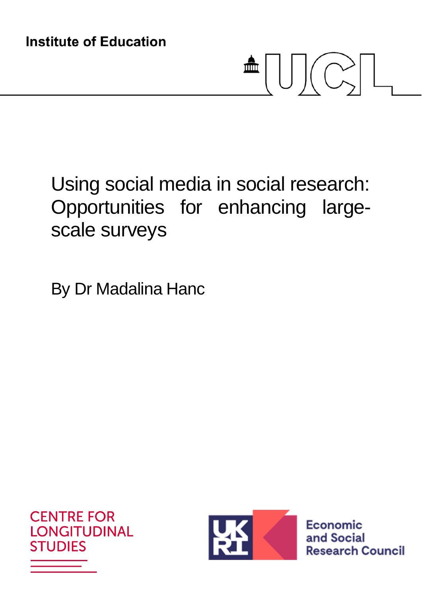# $\triangleq$   $\bigcup$   $\bigcup$   $\bigcirc$   $\bigcup$

# Using social media in social research: Opportunities for enhancing largescale surveys

By Dr Madalina Hanc





Economic and Social **Research Council**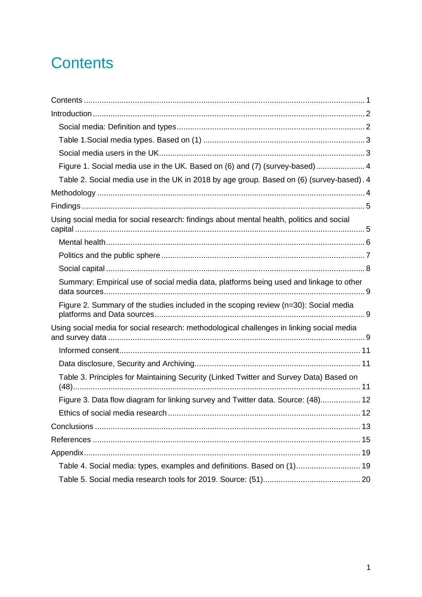## **Contents**

| Figure 1. Social media use in the UK. Based on (6) and (7) (survey-based) 4               |  |
|-------------------------------------------------------------------------------------------|--|
| Table 2. Social media use in the UK in 2018 by age group. Based on (6) (survey-based). 4  |  |
|                                                                                           |  |
|                                                                                           |  |
| Using social media for social research: findings about mental health, politics and social |  |
|                                                                                           |  |
|                                                                                           |  |
|                                                                                           |  |
| Summary: Empirical use of social media data, platforms being used and linkage to other    |  |
| Figure 2. Summary of the studies included in the scoping review (n=30): Social media      |  |
| Using social media for social research: methodological challenges in linking social media |  |
|                                                                                           |  |
|                                                                                           |  |
| Table 3. Principles for Maintaining Security (Linked Twitter and Survey Data) Based on    |  |
| Figure 3. Data flow diagram for linking survey and Twitter data. Source: (48) 12          |  |
|                                                                                           |  |
|                                                                                           |  |
|                                                                                           |  |
|                                                                                           |  |
| Table 4. Social media: types, examples and definitions. Based on (1) 19                   |  |
|                                                                                           |  |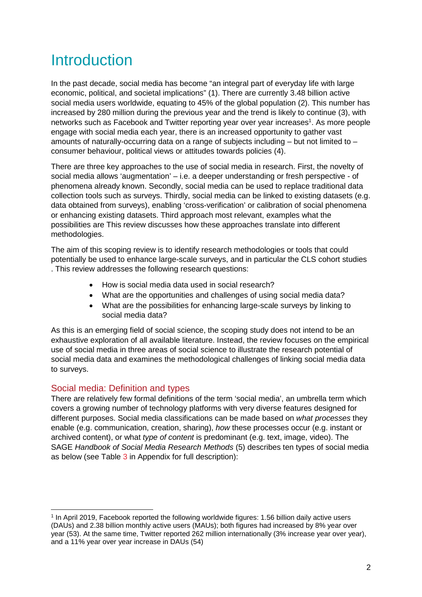## Introduction

In the past decade, social media has become "an integral part of everyday life with large economic, political, and societal implications" (1). There are currently 3.48 billion active social media users worldwide, equating to 45% of the global population (2). This number has increased by 280 million during the previous year and the trend is likely to continue (3), with networks such as Facebook and Twitter reporting year over year increases<sup>1</sup>. As more people engage with social media each year, there is an increased opportunity to gather vast amounts of naturally-occurring data on a range of subjects including – but not limited to – consumer behaviour, political views or attitudes towards policies (4).

There are three key approaches to the use of social media in research. First, the novelty of social media allows 'augmentation' – i.e. a deeper understanding or fresh perspective - of phenomena already known. Secondly, social media can be used to replace traditional data collection tools such as surveys. Thirdly, social media can be linked to existing datasets (e.g. data obtained from surveys), enabling 'cross-verification' or calibration of social phenomena or enhancing existing datasets. Third approach most relevant, examples what the possibilities are This review discusses how these approaches translate into different methodologies.

The aim of this scoping review is to identify research methodologies or tools that could potentially be used to enhance large-scale surveys, and in particular the CLS cohort studies . This review addresses the following research questions:

- How is social media data used in social research?
- What are the opportunities and challenges of using social media data?
- What are the possibilities for enhancing large-scale surveys by linking to social media data?

As this is an emerging field of social science, the scoping study does not intend to be an exhaustive exploration of all available literature. Instead, the review focuses on the empirical use of social media in three areas of social science to illustrate the research potential of social media data and examines the methodological challenges of linking social media data to surveys.

#### Social media: Definition and types

There are relatively few formal definitions of the term 'social media', an umbrella term which covers a growing number of technology platforms with very diverse features designed for different purposes. Social media classifications can be made based on *what processes* they enable (e.g. communication, creation, sharing), *how* these processes occur (e.g. instant or archived content), or what *type of content* is predominant (e.g. text, image, video). The SAGE *Handbook of Social Media Research Methods* (5) describes ten types of social media as below (see Table 3 in Appendix for full description):

<sup>1</sup> In April 2019, Facebook reported the following worldwide figures: 1.56 billion daily active users (DAUs) and 2.38 billion monthly active users (MAUs); both figures had increased by 8% year over year (53). At the same time, Twitter reported 262 million internationally (3% increase year over year), and a 11% year over year increase in DAUs (54)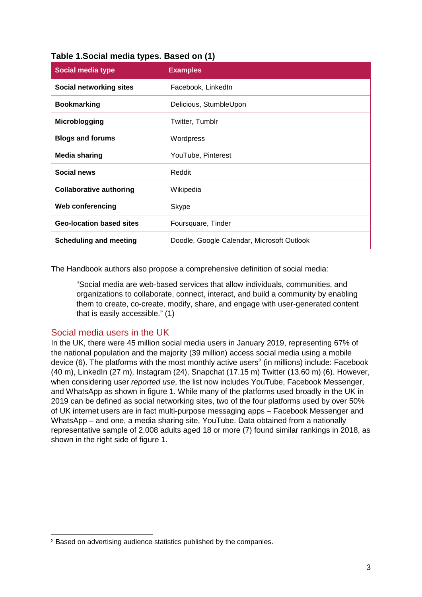| <b>Social media type</b>        | <b>Examples</b>                            |
|---------------------------------|--------------------------------------------|
| Social networking sites         | Facebook, LinkedIn                         |
| <b>Bookmarking</b>              | Delicious, StumbleUpon                     |
| Microblogging                   | Twitter, Tumblr                            |
| <b>Blogs and forums</b>         | Wordpress                                  |
| <b>Media sharing</b>            | YouTube, Pinterest                         |
| Social news                     | Reddit                                     |
| <b>Collaborative authoring</b>  | Wikipedia                                  |
| <b>Web conferencing</b>         | <b>Skype</b>                               |
| <b>Geo-location based sites</b> | Foursquare, Tinder                         |
| <b>Scheduling and meeting</b>   | Doodle, Google Calendar, Microsoft Outlook |

#### **Table 1.Social media types. Based on (1)**

The Handbook authors also propose a comprehensive definition of social media:

"Social media are web-based services that allow individuals, communities, and organizations to collaborate, connect, interact, and build a community by enabling them to create, co-create, modify, share, and engage with user-generated content that is easily accessible." (1)

#### Social media users in the UK

In the UK, there were 45 million social media users in January 2019, representing 67% of the national population and the majority (39 million) access social media using a mobile device (6). The platforms with the most monthly active users<sup>2</sup> (in millions) include: Facebook (40 m), LinkedIn (27 m), Instagram (24), Snapchat (17.15 m) Twitter (13.60 m) (6). However, when considering user *reported use*, the list now includes YouTube, Facebook Messenger, and WhatsApp as shown in figure 1. While many of the platforms used broadly in the UK in 2019 can be defined as social networking sites, two of the four platforms used by over 50% of UK internet users are in fact multi-purpose messaging apps – Facebook Messenger and WhatsApp – and one, a media sharing site, YouTube. Data obtained from a nationally representative sample of 2,008 adults aged 18 or more (7) found similar rankings in 2018, as shown in the right side of figure 1.

<sup>2</sup> Based on advertising audience statistics published by the companies.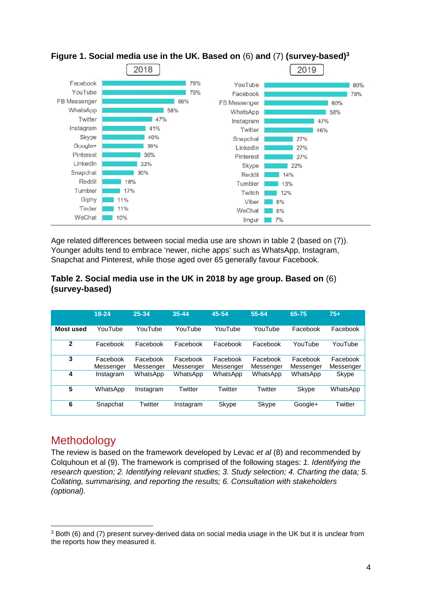



Age related differences between social media use are shown in table 2 (based on (7)). Younger adults tend to embrace 'newer, niche apps' such as WhatsApp, Instagram, Snapchat and Pinterest, while those aged over 65 generally favour Facebook.

#### **Table 2. Social media use in the UK in 2018 by age group. Based on** (6) **(survey-based)**

|                  | $18 - 24$             | 25-34                 | $35 - 44$             | 45-54                 | 55-64                 | 65-75                 | $75+$                 |
|------------------|-----------------------|-----------------------|-----------------------|-----------------------|-----------------------|-----------------------|-----------------------|
| <b>Most used</b> | YouTube               | YouTube               | YouTube               | YouTube               | YouTube               | Facebook              | Facebook              |
| $\mathbf{2}$     | Facebook              | Facebook              | Facebook              | Facebook              | Facebook              | YouTube               | YouTube               |
| 3                | Facebook<br>Messenger | Facebook<br>Messenger | Facebook<br>Messenger | Facebook<br>Messenger | Facebook<br>Messenger | Facebook<br>Messenger | Facebook<br>Messenger |
| 4                | Instagram             | WhatsApp              | WhatsApp              | WhatsApp              | WhatsApp              | WhatsApp              | Skype                 |
| 5                | WhatsApp              | Instagram             | Twitter               | Twitter               | Twitter               | Skype                 | WhatsApp              |
| 6                | Snapchat              | Twitter               | Instagram             | Skype                 | Skype                 | Google+               | Twitter               |

## **Methodology**

The review is based on the framework developed by Levac *et al* (8) and recommended by Colquhoun et al (9). The framework is comprised of the following stages: *1. Identifying the research question; 2. Identifying relevant studies; 3. Study selection; 4. Charting the data; 5. Collating, summarising, and reporting the results; 6. Consultation with stakeholders (optional).* 

 $3$  Both (6) and (7) present survey-derived data on social media usage in the UK but it is unclear from the reports how they measured it.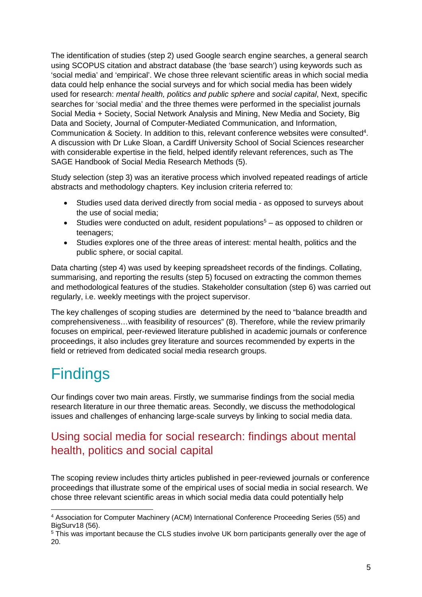The identification of studies (step 2) used Google search engine searches, a general search using SCOPUS citation and abstract database (the 'base search') using keywords such as 'social media' and 'empirical'. We chose three relevant scientific areas in which social media data could help enhance the social surveys and for which social media has been widely used for research: *mental health, politics and public sphere* and *social capital*, Next, specific searches for 'social media' and the three themes were performed in the specialist journals Social Media + Society, Social Network Analysis and Mining, New Media and Society, Big Data and Society, Journal of Computer-Mediated Communication, and Information, Communication & Society. In addition to this, relevant conference websites were consulted<sup>4</sup>. A discussion with Dr Luke Sloan, a Cardiff University School of Social Sciences researcher with considerable expertise in the field, helped identify relevant references, such as The SAGE Handbook of Social Media Research Methods (5).

Study selection (step 3) was an iterative process which involved repeated readings of article abstracts and methodology chapters. Key inclusion criteria referred to:

- Studies used data derived directly from social media as opposed to surveys about the use of social media;
- Studies were conducted on adult, resident populations<sup>5</sup> as opposed to children or teenagers;
- Studies explores one of the three areas of interest: mental health, politics and the public sphere, or social capital.

Data charting (step 4) was used by keeping spreadsheet records of the findings. Collating, summarising, and reporting the results (step 5) focused on extracting the common themes and methodological features of the studies. Stakeholder consultation (step 6) was carried out regularly, i.e. weekly meetings with the project supervisor.

The key challenges of scoping studies are determined by the need to "balance breadth and comprehensiveness…with feasibility of resources" (8). Therefore, while the review primarily focuses on empirical, peer-reviewed literature published in academic journals or conference proceedings, it also includes grey literature and sources recommended by experts in the field or retrieved from dedicated social media research groups.

## **Findings**

Our findings cover two main areas. Firstly, we summarise findings from the social media research literature in our three thematic areas. Secondly, we discuss the methodological issues and challenges of enhancing large-scale surveys by linking to social media data.

## Using social media for social research: findings about mental health, politics and social capital

The scoping review includes thirty articles published in peer-reviewed journals or conference proceedings that illustrate some of the empirical uses of social media in social research. We chose three relevant scientific areas in which social media data could potentially help

<sup>4</sup> Association for Computer Machinery (ACM) International Conference Proceeding Series (55) and BigSurv18 (56).

<sup>&</sup>lt;sup>5</sup> This was important because the CLS studies involve UK born participants generally over the age of 20.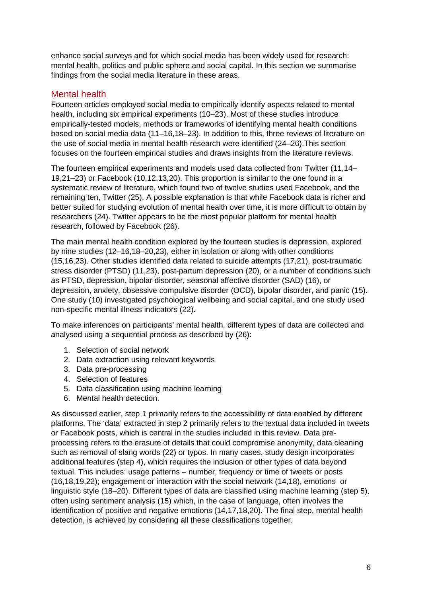enhance social surveys and for which social media has been widely used for research: mental health, politics and public sphere and social capital. In this section we summarise findings from the social media literature in these areas.

#### Mental health

Fourteen articles employed social media to empirically identify aspects related to mental health, including six empirical experiments (10–23). Most of these studies introduce empirically-tested models, methods or frameworks of identifying mental health conditions based on social media data (11–16,18–23). In addition to this, three reviews of literature on the use of social media in mental health research were identified (24–26).This section focuses on the fourteen empirical studies and draws insights from the literature reviews.

The fourteen empirical experiments and models used data collected from Twitter (11,14– 19,21–23) or Facebook (10,12,13,20). This proportion is similar to the one found in a systematic review of literature, which found two of twelve studies used Facebook, and the remaining ten, Twitter (25). A possible explanation is that while Facebook data is richer and better suited for studying evolution of mental health over time, it is more difficult to obtain by researchers (24). Twitter appears to be the most popular platform for mental health research, followed by Facebook (26).

The main mental health condition explored by the fourteen studies is depression, explored by nine studies (12–16,18–20,23), either in isolation or along with other conditions (15,16,23). Other studies identified data related to suicide attempts (17,21), post-traumatic stress disorder (PTSD) (11,23), post-partum depression (20), or a number of conditions such as PTSD, depression, bipolar disorder, seasonal affective disorder (SAD) (16), or depression, anxiety, obsessive compulsive disorder (OCD), bipolar disorder, and panic (15). One study (10) investigated psychological wellbeing and social capital, and one study used non-specific mental illness indicators (22).

To make inferences on participants' mental health, different types of data are collected and analysed using a sequential process as described by (26):

- 1. Selection of social network
- 2. Data extraction using relevant keywords
- 3. Data pre-processing
- 4. Selection of features
- 5. Data classification using machine learning
- 6. Mental health detection.

As discussed earlier, step 1 primarily refers to the accessibility of data enabled by different platforms. The 'data' extracted in step 2 primarily refers to the textual data included in tweets or Facebook posts, which is central in the studies included in this review. Data preprocessing refers to the erasure of details that could compromise anonymity, data cleaning such as removal of slang words (22) or typos. In many cases, study design incorporates additional features (step 4), which requires the inclusion of other types of data beyond textual. This includes: usage patterns – number, frequency or time of tweets or posts (16,18,19,22); engagement or interaction with the social network (14,18), emotions or linguistic style (18–20). Different types of data are classified using machine learning (step 5), often using sentiment analysis (15) which, in the case of language, often involves the identification of positive and negative emotions (14,17,18,20). The final step, mental health detection, is achieved by considering all these classifications together.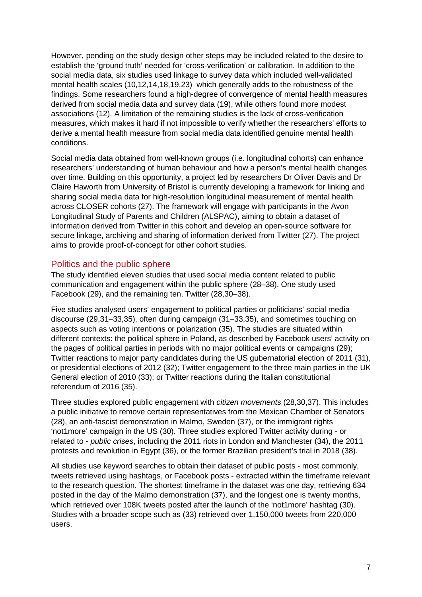However, pending on the study design other steps may be included related to the desire to establish the 'ground truth' needed for 'cross-verification' or calibration. In addition to the social media data, six studies used linkage to survey data which included well-validated mental health scales (10,12,14,18,19,23) which generally adds to the robustness of the findings. Some researchers found a high-degree of convergence of mental health measures derived from social media data and survey data (19), while others found more modest associations (12). A limitation of the remaining studies is the lack of cross-verification measures, which makes it hard if not impossible to verify whether the researchers' efforts to derive a mental health measure from social media data identified genuine mental health conditions.

Social media data obtained from well-known groups (i.e. longitudinal cohorts) can enhance researchers' understanding of human behaviour and how a person's mental health changes over time. Building on this opportunity, a project led by researchers Dr Oliver Davis and Dr Claire Haworth from University of Bristol is currently developing a framework for linking and sharing social media data for high-resolution longitudinal measurement of mental health across CLOSER cohorts (27). The framework will engage with participants in the Avon Longitudinal Study of Parents and Children (ALSPAC), aiming to obtain a dataset of information derived from Twitter in this cohort and develop an open-source software for secure linkage, archiving and sharing of information derived from Twitter (27). The project aims to provide proof-of-concept for other cohort studies.

#### Politics and the public sphere

The study identified eleven studies that used social media content related to public communication and engagement within the public sphere (28–38). One study used Facebook (29), and the remaining ten, Twitter (28,30–38).

Five studies analysed users' engagement to political parties or politicians' social media discourse (29,31–33,35), often during campaign (31–33,35), and sometimes touching on aspects such as voting intentions or polarization (35). The studies are situated within different contexts: the political sphere in Poland, as described by Facebook users' activity on the pages of political parties in periods with no major political events or campaigns (29); Twitter reactions to major party candidates during the US gubernatorial election of 2011 (31), or presidential elections of 2012 (32); Twitter engagement to the three main parties in the UK General election of 2010 (33); or Twitter reactions during the Italian constitutional referendum of 2016 (35).

Three studies explored public engagement with *citizen movements* (28,30,37). This includes a public initiative to remove certain representatives from the Mexican Chamber of Senators (28), an anti-fascist demonstration in Malmo, Sweden (37), or the immigrant rights 'not1more' campaign in the US (30). Three studies explored Twitter activity during - or related to - *public crises*, including the 2011 riots in London and Manchester (34), the 2011 protests and revolution in Egypt (36), or the former Brazilian president's trial in 2018 (38).

All studies use keyword searches to obtain their dataset of public posts - most commonly, tweets retrieved using hashtags, or Facebook posts - extracted within the timeframe relevant to the research question. The shortest timeframe in the dataset was one day, retrieving 634 posted in the day of the Malmo demonstration (37), and the longest one is twenty months, which retrieved over 108K tweets posted after the launch of the 'not1more' hashtag (30). Studies with a broader scope such as (33) retrieved over 1,150,000 tweets from 220,000 users.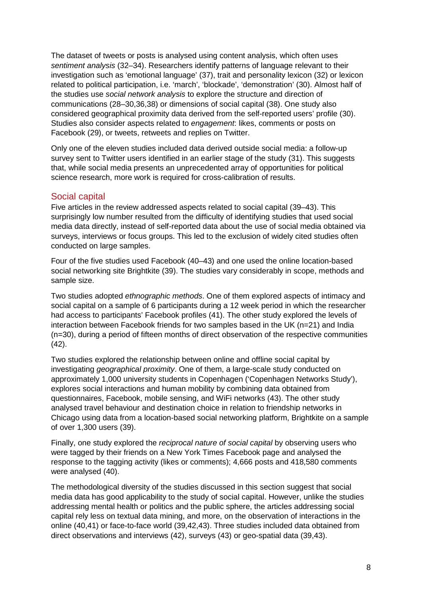The dataset of tweets or posts is analysed using content analysis, which often uses *sentiment analysis* (32–34). Researchers identify patterns of language relevant to their investigation such as 'emotional language' (37), trait and personality lexicon (32) or lexicon related to political participation, i.e. 'march', 'blockade', 'demonstration' (30). Almost half of the studies use *social network analysis* to explore the structure and direction of communications (28–30,36,38) or dimensions of social capital (38). One study also considered geographical proximity data derived from the self-reported users' profile (30). Studies also consider aspects related to *engagement*: likes, comments or posts on Facebook (29), or tweets, retweets and replies on Twitter.

Only one of the eleven studies included data derived outside social media: a follow-up survey sent to Twitter users identified in an earlier stage of the study (31). This suggests that, while social media presents an unprecedented array of opportunities for political science research, more work is required for cross-calibration of results.

#### Social capital

Five articles in the review addressed aspects related to social capital (39–43). This surprisingly low number resulted from the difficulty of identifying studies that used social media data directly, instead of self-reported data about the use of social media obtained via surveys, interviews or focus groups. This led to the exclusion of widely cited studies often conducted on large samples.

Four of the five studies used Facebook (40–43) and one used the online location-based social networking site Brightkite (39). The studies vary considerably in scope, methods and sample size.

Two studies adopted *ethnographic methods*. One of them explored aspects of intimacy and social capital on a sample of 6 participants during a 12 week period in which the researcher had access to participants' Facebook profiles (41). The other study explored the levels of interaction between Facebook friends for two samples based in the UK (n=21) and India (n=30), during a period of fifteen months of direct observation of the respective communities (42).

Two studies explored the relationship between online and offline social capital by investigating *geographical proximity*. One of them, a large-scale study conducted on approximately 1,000 university students in Copenhagen ('Copenhagen Networks Study'), explores social interactions and human mobility by combining data obtained from questionnaires, Facebook, mobile sensing, and WiFi networks (43). The other study analysed travel behaviour and destination choice in relation to friendship networks in Chicago using data from a location-based social networking platform, Brightkite on a sample of over 1,300 users (39).

Finally, one study explored the *reciprocal nature of social capital* by observing users who were tagged by their friends on a New York Times Facebook page and analysed the response to the tagging activity (likes or comments); 4,666 posts and 418,580 comments were analysed (40).

The methodological diversity of the studies discussed in this section suggest that social media data has good applicability to the study of social capital. However, unlike the studies addressing mental health or politics and the public sphere, the articles addressing social capital rely less on textual data mining, and more, on the observation of interactions in the online (40,41) or face-to-face world (39,42,43). Three studies included data obtained from direct observations and interviews (42), surveys (43) or geo-spatial data (39,43).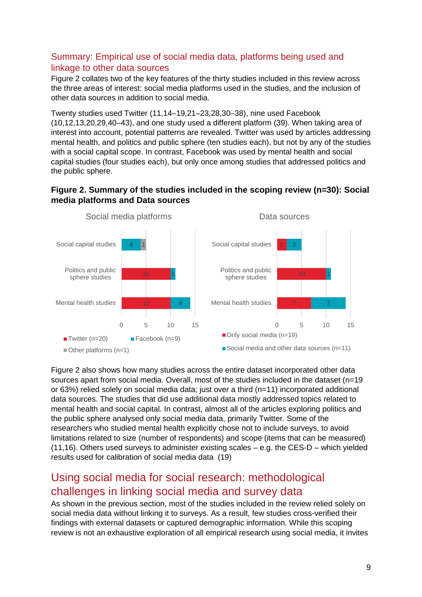#### Summary: Empirical use of social media data, platforms being used and linkage to other data sources

Figure 2 collates two of the key features of the thirty studies included in this review across the three areas of interest: social media platforms used in the studies, and the inclusion of other data sources in addition to social media.

Twenty studies used Twitter (11,14–19,21–23,28,30–38), nine used Facebook (10,12,13,20,29,40–43), and one study used a different platform (39). When taking area of interest into account, potential patterns are revealed. Twitter was used by articles addressing mental health, and politics and public sphere (ten studies each), but not by any of the studies with a social capital scope. In contrast, Facebook was used by mental health and social capital studies (four studies each), but only once among studies that addressed politics and the public sphere.

#### **Figure 2. Summary of the studies included in the scoping review (n=30): Social media platforms and Data sources**



Figure 2 also shows how many studies across the entire dataset incorporated other data sources apart from social media. Overall, most of the studies included in the dataset (n=19 or 63%) relied solely on social media data; just over a third (n=11) incorporated additional data sources. The studies that did use additional data mostly addressed topics related to mental health and social capital. In contrast, almost all of the articles exploring politics and the public sphere analysed only social media data, primarily Twitter. Some of the researchers who studied mental health explicitly chose not to include surveys, to avoid limitations related to size (number of respondents) and scope (items that can be measured) (11,16). Others used surveys to administer existing scales – e.g. the CES-D – which yielded results used for calibration of social media data (19)

## Using social media for social research: methodological challenges in linking social media and survey data

As shown in the previous section, most of the studies included in the review relied solely on social media data without linking it to surveys. As a result, few studies cross-verified their findings with external datasets or captured demographic information. While this scoping review is not an exhaustive exploration of all empirical research using social media, it invites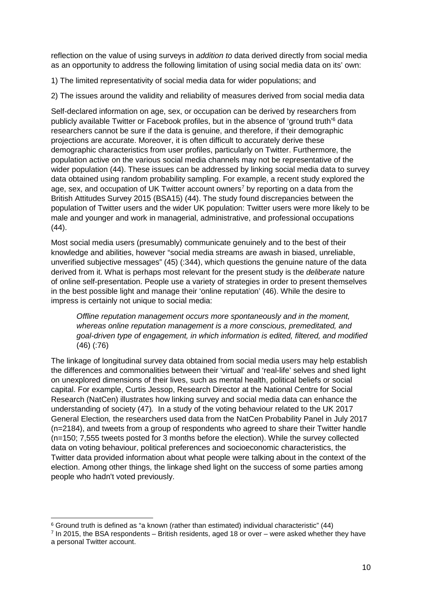reflection on the value of using surveys in *addition to* data derived directly from social media as an opportunity to address the following limitation of using social media data on its' own:

1) The limited representativity of social media data for wider populations; and

2) The issues around the validity and reliability of measures derived from social media data

Self-declared information on age, sex, or occupation can be derived by researchers from publicly available Twitter or Facebook profiles, but in the absence of 'ground truth'<sup>6</sup> data researchers cannot be sure if the data is genuine, and therefore, if their demographic projections are accurate. Moreover, it is often difficult to accurately derive these demographic characteristics from user profiles, particularly on Twitter. Furthermore, the population active on the various social media channels may not be representative of the wider population (44). These issues can be addressed by linking social media data to survey data obtained using random probability sampling. For example, a recent study explored the age, sex, and occupation of UK Twitter account owners<sup>7</sup> by reporting on a data from the British Attitudes Survey 2015 (BSA15) (44). The study found discrepancies between the population of Twitter users and the wider UK population: Twitter users were more likely to be male and younger and work in managerial, administrative, and professional occupations (44).

Most social media users (presumably) communicate genuinely and to the best of their knowledge and abilities, however "social media streams are awash in biased, unreliable, unverified subjective messages" (45) (:344), which questions the genuine nature of the data derived from it. What is perhaps most relevant for the present study is the *deliberate* nature of online self-presentation. People use a variety of strategies in order to present themselves in the best possible light and manage their 'online reputation' (46). While the desire to impress is certainly not unique to social media:

*Offline reputation management occurs more spontaneously and in the moment, whereas online reputation management is a more conscious, premeditated, and goal-driven type of engagement, in which information is edited, filtered, and modified* (46) (:76)

The linkage of longitudinal survey data obtained from social media users may help establish the differences and commonalities between their 'virtual' and 'real-life' selves and shed light on unexplored dimensions of their lives, such as mental health, political beliefs or social capital. For example, Curtis Jessop, Research Director at the National Centre for Social Research (NatCen) illustrates how linking survey and social media data can enhance the understanding of society (47)*.* In a study of the voting behaviour related to the UK 2017 General Election*,* the researchers used data from the NatCen Probability Panel in July 2017 (n=2184), and tweets from a group of respondents who agreed to share their Twitter handle (n=150; 7,555 tweets posted for 3 months before the election). While the survey collected data on voting behaviour, political preferences and socioeconomic characteristics, the Twitter data provided information about what people were talking about in the context of the election. Among other things, the linkage shed light on the success of some parties among people who hadn't voted previously.

<sup>6</sup> Ground truth is defined as "a known (rather than estimated) individual characteristic" (44)

<sup>7</sup> In 2015, the BSA respondents – British residents, aged 18 or over – were asked whether they have a personal Twitter account.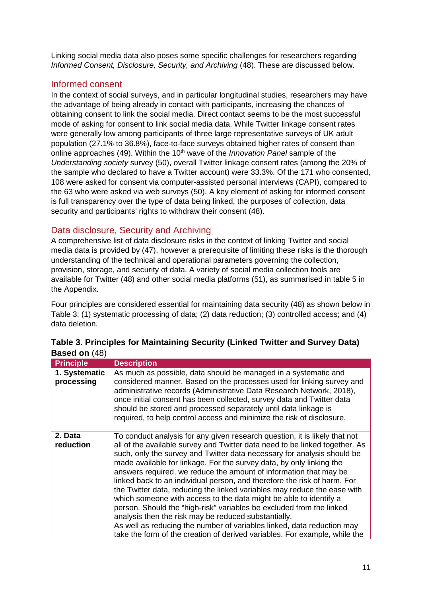Linking social media data also poses some specific challenges for researchers regarding *Informed Consent, Disclosure, Security, and Archiving* (48). These are discussed below.

#### Informed consent

In the context of social surveys, and in particular longitudinal studies, researchers may have the advantage of being already in contact with participants, increasing the chances of obtaining consent to link the social media. Direct contact seems to be the most successful mode of asking for consent to link social media data. While Twitter linkage consent rates were generally low among participants of three large representative surveys of UK adult population (27.1% to 36.8%), face-to-face surveys obtained higher rates of consent than online approaches (49). Within the 10<sup>th</sup> wave of the *Innovation Panel* sample of the *Understanding society* survey (50), overall Twitter linkage consent rates (among the 20% of the sample who declared to have a Twitter account) were 33.3%. Of the 171 who consented, 108 were asked for consent via computer-assisted personal interviews (CAPI), compared to the 63 who were asked via web surveys (50). A key element of asking for informed consent is full transparency over the type of data being linked, the purposes of collection, data security and participants' rights to withdraw their consent (48).

#### Data disclosure, Security and Archiving

A comprehensive list of data disclosure risks in the context of linking Twitter and social media data is provided by (47), however a prerequisite of limiting these risks is the thorough understanding of the technical and operational parameters governing the collection, provision, storage, and security of data. A variety of social media collection tools are available for Twitter (48) and other social media platforms (51), as summarised in table 5 in the Appendix.

Four principles are considered essential for maintaining data security (48) as shown below in Table 3: (1) systematic processing of data; (2) data reduction; (3) controlled access; and (4) data deletion.

| <b>Principle</b>            | <b>Description</b>                                                                                                                                                                                                                                                                                                                                                                                                                                                                                                                                                                                                                                                                                                                                                                                                                                                                                     |
|-----------------------------|--------------------------------------------------------------------------------------------------------------------------------------------------------------------------------------------------------------------------------------------------------------------------------------------------------------------------------------------------------------------------------------------------------------------------------------------------------------------------------------------------------------------------------------------------------------------------------------------------------------------------------------------------------------------------------------------------------------------------------------------------------------------------------------------------------------------------------------------------------------------------------------------------------|
| 1. Systematic<br>processing | As much as possible, data should be managed in a systematic and<br>considered manner. Based on the processes used for linking survey and<br>administrative records (Administrative Data Research Network, 2018),<br>once initial consent has been collected, survey data and Twitter data<br>should be stored and processed separately until data linkage is<br>required, to help control access and minimize the risk of disclosure.                                                                                                                                                                                                                                                                                                                                                                                                                                                                  |
| 2. Data<br>reduction        | To conduct analysis for any given research question, it is likely that not<br>all of the available survey and Twitter data need to be linked together. As<br>such, only the survey and Twitter data necessary for analysis should be<br>made available for linkage. For the survey data, by only linking the<br>answers required, we reduce the amount of information that may be<br>linked back to an individual person, and therefore the risk of harm. For<br>the Twitter data, reducing the linked variables may reduce the ease with<br>which someone with access to the data might be able to identify a<br>person. Should the "high-risk" variables be excluded from the linked<br>analysis then the risk may be reduced substantially.<br>As well as reducing the number of variables linked, data reduction may<br>take the form of the creation of derived variables. For example, while the |

|                      | Table 3. Principles for Maintaining Security (Linked Twitter and Survey Data) |  |  |
|----------------------|-------------------------------------------------------------------------------|--|--|
| <b>Based on (48)</b> |                                                                               |  |  |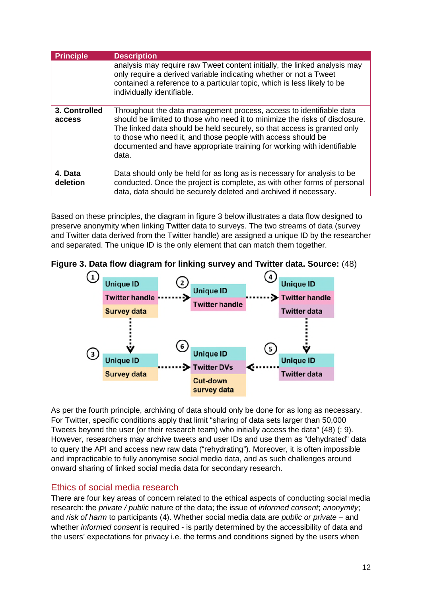| <b>Principle</b>        | <b>Description</b>                                                                                                                                                                                                                                                                                                                                                               |
|-------------------------|----------------------------------------------------------------------------------------------------------------------------------------------------------------------------------------------------------------------------------------------------------------------------------------------------------------------------------------------------------------------------------|
|                         | analysis may require raw Tweet content initially, the linked analysis may<br>only require a derived variable indicating whether or not a Tweet<br>contained a reference to a particular topic, which is less likely to be<br>individually identifiable.                                                                                                                          |
| 3. Controlled<br>access | Throughout the data management process, access to identifiable data<br>should be limited to those who need it to minimize the risks of disclosure.<br>The linked data should be held securely, so that access is granted only<br>to those who need it, and those people with access should be<br>documented and have appropriate training for working with identifiable<br>data. |
| 4. Data<br>deletion     | Data should only be held for as long as is necessary for analysis to be<br>conducted. Once the project is complete, as with other forms of personal<br>data, data should be securely deleted and archived if necessary.                                                                                                                                                          |

Based on these principles, the diagram in figure 3 below illustrates a data flow designed to preserve anonymity when linking Twitter data to surveys. The two streams of data (survey and Twitter data derived from the Twitter handle) are assigned a unique ID by the researcher and separated. The unique ID is the only element that can match them together.





As per the fourth principle, archiving of data should only be done for as long as necessary. For Twitter, specific conditions apply that limit "sharing of data sets larger than 50,000 Tweets beyond the user (or their research team) who initially access the data" (48) (: 9). However, researchers may archive tweets and user IDs and use them as "dehydrated" data to query the API and access new raw data ("rehydrating"). Moreover, it is often impossible and impracticable to fully anonymise social media data, and as such challenges around onward sharing of linked social media data for secondary research.

#### Ethics of social media research

There are four key areas of concern related to the ethical aspects of conducting social media research: the *private / public* nature of the data; the issue of *informed consent*; *anonymity*; and *risk of harm* to participants (4). Whether social media data are *public or private* – and whether *informed consent* is required - is partly determined by the accessibility of data and the users' expectations for privacy i.e. the terms and conditions signed by the users when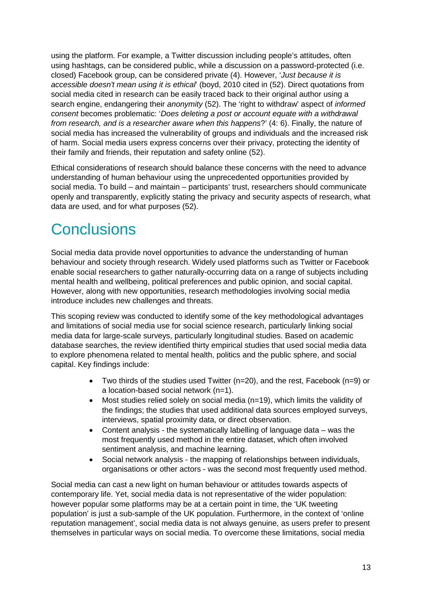using the platform. For example, a Twitter discussion including people's attitudes, often using hashtags, can be considered public, while a discussion on a password-protected (i.e. closed) Facebook group, can be considered private (4). However, '*Just because it is accessible doesn't mean using it is ethical*' (boyd, 2010 cited in (52). Direct quotations from social media cited in research can be easily traced back to their original author using a search engine, endangering their *anonymity* (52). The 'right to withdraw' aspect of *informed consent* becomes problematic: '*Does deleting a post or account equate with a withdrawal from research, and is a researcher aware when this happens*?' (4: 6). Finally, the nature of social media has increased the vulnerability of groups and individuals and the increased risk of harm. Social media users express concerns over their privacy, protecting the identity of their family and friends, their reputation and safety online (52).

Ethical considerations of research should balance these concerns with the need to advance understanding of human behaviour using the unprecedented opportunities provided by social media. To build – and maintain – participants' trust, researchers should communicate openly and transparently, explicitly stating the privacy and security aspects of research, what data are used, and for what purposes (52).

## **Conclusions**

Social media data provide novel opportunities to advance the understanding of human behaviour and society through research. Widely used platforms such as Twitter or Facebook enable social researchers to gather naturally-occurring data on a range of subjects including mental health and wellbeing, political preferences and public opinion, and social capital. However, along with new opportunities, research methodologies involving social media introduce includes new challenges and threats.

This scoping review was conducted to identify some of the key methodological advantages and limitations of social media use for social science research, particularly linking social media data for large-scale surveys, particularly longitudinal studies. Based on academic database searches, the review identified thirty empirical studies that used social media data to explore phenomena related to mental health, politics and the public sphere, and social capital. Key findings include:

- Two thirds of the studies used Twitter (n=20), and the rest, Facebook (n=9) or a location-based social network (n=1).
- Most studies relied solely on social media (n=19), which limits the validity of the findings; the studies that used additional data sources employed surveys, interviews, spatial proximity data, or direct observation.
- Content analysis the systematically labelling of language data was the most frequently used method in the entire dataset, which often involved sentiment analysis, and machine learning.
- Social network analysis the mapping of relationships between individuals, organisations or other actors - was the second most frequently used method.

Social media can cast a new light on human behaviour or attitudes towards aspects of contemporary life. Yet, social media data is not representative of the wider population: however popular some platforms may be at a certain point in time, the 'UK tweeting population' is just a sub-sample of the UK population. Furthermore, in the context of 'online reputation management', social media data is not always genuine, as users prefer to present themselves in particular ways on social media. To overcome these limitations, social media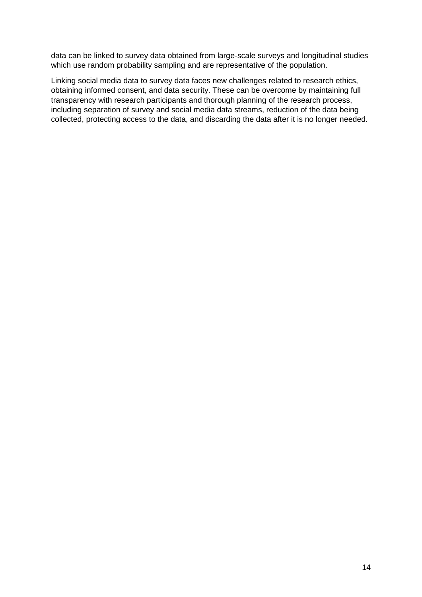data can be linked to survey data obtained from large-scale surveys and longitudinal studies which use random probability sampling and are representative of the population.

Linking social media data to survey data faces new challenges related to research ethics, obtaining informed consent, and data security. These can be overcome by maintaining full transparency with research participants and thorough planning of the research process, including separation of survey and social media data streams, reduction of the data being collected, protecting access to the data, and discarding the data after it is no longer needed.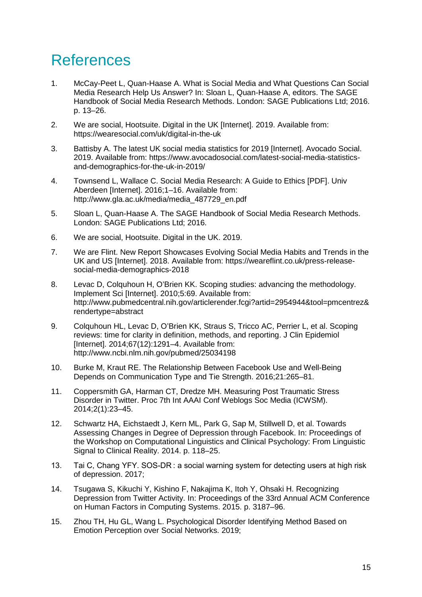## References

- 1. McCay-Peet L, Quan-Haase A. What is Social Media and What Questions Can Social Media Research Help Us Answer? In: Sloan L, Quan-Haase A, editors. The SAGE Handbook of Social Media Research Methods. London: SAGE Publications Ltd; 2016. p. 13–26.
- 2. We are social, Hootsuite. Digital in the UK [Internet]. 2019. Available from: https://wearesocial.com/uk/digital-in-the-uk
- 3. Battisby A. The latest UK social media statistics for 2019 [Internet]. Avocado Social. 2019. Available from: https://www.avocadosocial.com/latest-social-media-statisticsand-demographics-for-the-uk-in-2019/
- 4. Townsend L, Wallace C. Social Media Research: A Guide to Ethics [PDF]. Univ Aberdeen [Internet]. 2016;1–16. Available from: http://www.gla.ac.uk/media/media\_487729\_en.pdf
- 5. Sloan L, Quan-Haase A. The SAGE Handbook of Social Media Research Methods. London: SAGE Publications Ltd; 2016.
- 6. We are social, Hootsuite. Digital in the UK. 2019.
- 7. We are Flint. New Report Showcases Evolving Social Media Habits and Trends in the UK and US [Internet]. 2018. Available from: https://weareflint.co.uk/press-releasesocial-media-demographics-2018
- 8. Levac D, Colquhoun H, O'Brien KK. Scoping studies: advancing the methodology. Implement Sci [Internet]. 2010;5:69. Available from: http://www.pubmedcentral.nih.gov/articlerender.fcgi?artid=2954944&tool=pmcentrez& rendertype=abstract
- 9. Colquhoun HL, Levac D, O'Brien KK, Straus S, Tricco AC, Perrier L, et al. Scoping reviews: time for clarity in definition, methods, and reporting. J Clin Epidemiol [Internet]. 2014;67(12):1291–4. Available from: http://www.ncbi.nlm.nih.gov/pubmed/25034198
- 10. Burke M, Kraut RE. The Relationship Between Facebook Use and Well-Being Depends on Communication Type and Tie Strength. 2016;21:265–81.
- 11. Coppersmith GA, Harman CT, Dredze MH. Measuring Post Traumatic Stress Disorder in Twitter. Proc 7th Int AAAI Conf Weblogs Soc Media (ICWSM). 2014;2(1):23–45.
- 12. Schwartz HA, Eichstaedt J, Kern ML, Park G, Sap M, Stillwell D, et al. Towards Assessing Changes in Degree of Depression through Facebook. In: Proceedings of the Workshop on Computational Linguistics and Clinical Psychology: From Linguistic Signal to Clinical Reality. 2014. p. 118–25.
- 13. Tai C, Chang YFY. SOS-DR : a social warning system for detecting users at high risk of depression. 2017;
- 14. Tsugawa S, Kikuchi Y, Kishino F, Nakajima K, Itoh Y, Ohsaki H. Recognizing Depression from Twitter Activity. In: Proceedings of the 33rd Annual ACM Conference on Human Factors in Computing Systems. 2015. p. 3187–96.
- 15. Zhou TH, Hu GL, Wang L. Psychological Disorder Identifying Method Based on Emotion Perception over Social Networks. 2019;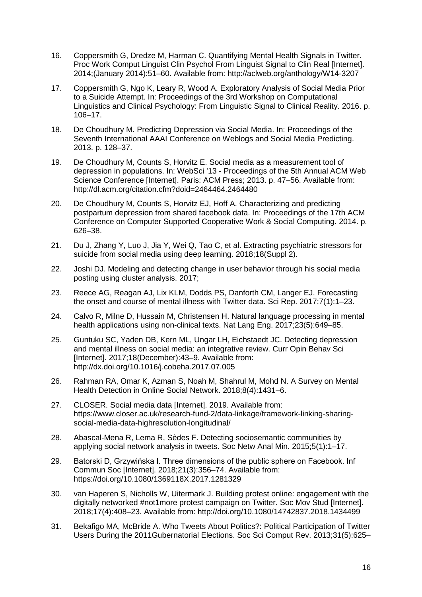- 16. Coppersmith G, Dredze M, Harman C. Quantifying Mental Health Signals in Twitter. Proc Work Comput Linguist Clin Psychol From Linguist Signal to Clin Real [Internet]. 2014;(January 2014):51–60. Available from: http://aclweb.org/anthology/W14-3207
- 17. Coppersmith G, Ngo K, Leary R, Wood A. Exploratory Analysis of Social Media Prior to a Suicide Attempt. In: Proceedings of the 3rd Workshop on Computational Linguistics and Clinical Psychology: From Linguistic Signal to Clinical Reality. 2016. p. 106–17.
- 18. De Choudhury M. Predicting Depression via Social Media. In: Proceedings of the Seventh International AAAI Conference on Weblogs and Social Media Predicting. 2013. p. 128–37.
- 19. De Choudhury M, Counts S, Horvitz E. Social media as a measurement tool of depression in populations. In: WebSci '13 - Proceedings of the 5th Annual ACM Web Science Conference [Internet]. Paris: ACM Press; 2013. p. 47–56. Available from: http://dl.acm.org/citation.cfm?doid=2464464.2464480
- 20. De Choudhury M, Counts S, Horvitz EJ, Hoff A. Characterizing and predicting postpartum depression from shared facebook data. In: Proceedings of the 17th ACM Conference on Computer Supported Cooperative Work & Social Computing. 2014. p. 626–38.
- 21. Du J, Zhang Y, Luo J, Jia Y, Wei Q, Tao C, et al. Extracting psychiatric stressors for suicide from social media using deep learning. 2018;18(Suppl 2).
- 22. Joshi DJ. Modeling and detecting change in user behavior through his social media posting using cluster analysis. 2017;
- 23. Reece AG, Reagan AJ, Lix KLM, Dodds PS, Danforth CM, Langer EJ. Forecasting the onset and course of mental illness with Twitter data. Sci Rep. 2017;7(1):1–23.
- 24. Calvo R, Milne D, Hussain M, Christensen H. Natural language processing in mental health applications using non-clinical texts. Nat Lang Eng. 2017;23(5):649–85.
- 25. Guntuku SC, Yaden DB, Kern ML, Ungar LH, Eichstaedt JC. Detecting depression and mental illness on social media: an integrative review. Curr Opin Behav Sci [Internet]. 2017;18(December):43–9. Available from: http://dx.doi.org/10.1016/j.cobeha.2017.07.005
- 26. Rahman RA, Omar K, Azman S, Noah M, Shahrul M, Mohd N. A Survey on Mental Health Detection in Online Social Network. 2018;8(4):1431–6.
- 27. CLOSER. Social media data [Internet]. 2019. Available from: https://www.closer.ac.uk/research-fund-2/data-linkage/framework-linking-sharingsocial-media-data-highresolution-longitudinal/
- 28. Abascal-Mena R, Lema R, Sèdes F. Detecting sociosemantic communities by applying social network analysis in tweets. Soc Netw Anal Min. 2015;5(1):1–17.
- 29. Batorski D, Grzywińska I. Three dimensions of the public sphere on Facebook. Inf Commun Soc [Internet]. 2018;21(3):356–74. Available from: https://doi.org/10.1080/1369118X.2017.1281329
- 30. van Haperen S, Nicholls W, Uitermark J. Building protest online: engagement with the digitally networked #not1more protest campaign on Twitter. Soc Mov Stud [Internet]. 2018;17(4):408–23. Available from: http://doi.org/10.1080/14742837.2018.1434499
- 31. Bekafigo MA, McBride A. Who Tweets About Politics?: Political Participation of Twitter Users During the 2011Gubernatorial Elections. Soc Sci Comput Rev. 2013;31(5):625–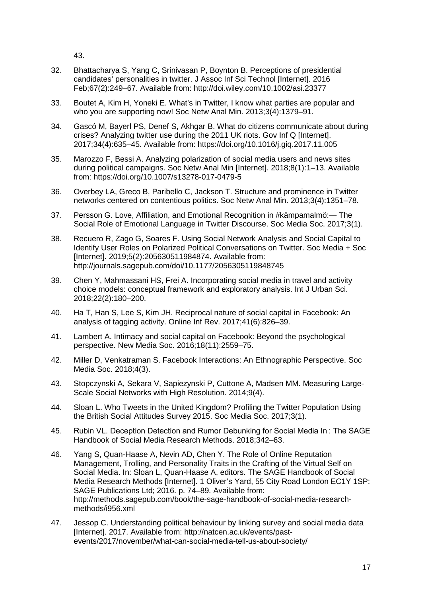43.

- 32. Bhattacharya S, Yang C, Srinivasan P, Boynton B. Perceptions of presidential candidates' personalities in twitter. J Assoc Inf Sci Technol [Internet]. 2016 Feb;67(2):249–67. Available from: http://doi.wiley.com/10.1002/asi.23377
- 33. Boutet A, Kim H, Yoneki E. What's in Twitter, I know what parties are popular and who you are supporting now! Soc Netw Anal Min. 2013;3(4):1379–91.
- 34. Gascó M, Bayerl PS, Denef S, Akhgar B. What do citizens communicate about during crises? Analyzing twitter use during the 2011 UK riots. Gov Inf Q [Internet]. 2017;34(4):635–45. Available from: https://doi.org/10.1016/j.giq.2017.11.005
- 35. Marozzo F, Bessi A. Analyzing polarization of social media users and news sites during political campaigns. Soc Netw Anal Min [Internet]. 2018;8(1):1–13. Available from: https://doi.org/10.1007/s13278-017-0479-5
- 36. Overbey LA, Greco B, Paribello C, Jackson T. Structure and prominence in Twitter networks centered on contentious politics. Soc Netw Anal Min. 2013;3(4):1351–78.
- 37. Persson G. Love, Affiliation, and Emotional Recognition in #kämpamalmö:— The Social Role of Emotional Language in Twitter Discourse. Soc Media Soc. 2017;3(1).
- 38. Recuero R, Zago G, Soares F. Using Social Network Analysis and Social Capital to Identify User Roles on Polarized Political Conversations on Twitter. Soc Media + Soc [Internet]. 2019;5(2):205630511984874. Available from: http://journals.sagepub.com/doi/10.1177/2056305119848745
- 39. Chen Y, Mahmassani HS, Frei A. Incorporating social media in travel and activity choice models: conceptual framework and exploratory analysis. Int J Urban Sci. 2018;22(2):180–200.
- 40. Ha T, Han S, Lee S, Kim JH. Reciprocal nature of social capital in Facebook: An analysis of tagging activity. Online Inf Rev. 2017;41(6):826–39.
- 41. Lambert A. Intimacy and social capital on Facebook: Beyond the psychological perspective. New Media Soc. 2016;18(11):2559–75.
- 42. Miller D, Venkatraman S. Facebook Interactions: An Ethnographic Perspective. Soc Media Soc. 2018;4(3).
- 43. Stopczynski A, Sekara V, Sapiezynski P, Cuttone A, Madsen MM. Measuring Large-Scale Social Networks with High Resolution. 2014;9(4).
- 44. Sloan L. Who Tweets in the United Kingdom? Profiling the Twitter Population Using the British Social Attitudes Survey 2015. Soc Media Soc. 2017;3(1).
- 45. Rubin VL. Deception Detection and Rumor Debunking for Social Media In : The SAGE Handbook of Social Media Research Methods. 2018;342–63.
- 46. Yang S, Quan-Haase A, Nevin AD, Chen Y. The Role of Online Reputation Management, Trolling, and Personality Traits in the Crafting of the Virtual Self on Social Media. In: Sloan L, Quan-Haase A, editors. The SAGE Handbook of Social Media Research Methods [Internet]. 1 Oliver's Yard, 55 City Road London EC1Y 1SP: SAGE Publications Ltd; 2016. p. 74–89. Available from: http://methods.sagepub.com/book/the-sage-handbook-of-social-media-researchmethods/i956.xml
- 47. Jessop C. Understanding political behaviour by linking survey and social media data [Internet]. 2017. Available from: http://natcen.ac.uk/events/pastevents/2017/november/what-can-social-media-tell-us-about-society/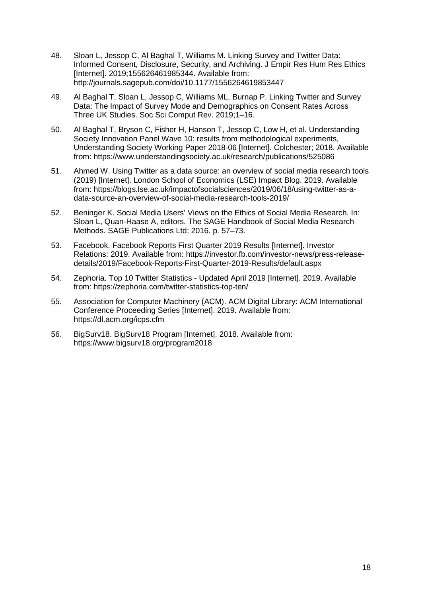- 48. Sloan L, Jessop C, Al Baghal T, Williams M. Linking Survey and Twitter Data: Informed Consent, Disclosure, Security, and Archiving. J Empir Res Hum Res Ethics [Internet]. 2019;155626461985344. Available from: http://journals.sagepub.com/doi/10.1177/1556264619853447
- 49. Al Baghal T, Sloan L, Jessop C, Williams ML, Burnap P. Linking Twitter and Survey Data: The Impact of Survey Mode and Demographics on Consent Rates Across Three UK Studies. Soc Sci Comput Rev. 2019;1–16.
- 50. Al Baghal T, Bryson C, Fisher H, Hanson T, Jessop C, Low H, et al. Understanding Society Innovation Panel Wave 10: results from methodological experiments, Understanding Society Working Paper 2018-06 [Internet]. Colchester; 2018. Available from: https://www.understandingsociety.ac.uk/research/publications/525086
- 51. Ahmed W. Using Twitter as a data source: an overview of social media research tools (2019) [Internet]. London School of Economics (LSE) Impact Blog. 2019. Available from: https://blogs.lse.ac.uk/impactofsocialsciences/2019/06/18/using-twitter-as-adata-source-an-overview-of-social-media-research-tools-2019/
- 52. Beninger K. Social Media Users' Views on the Ethics of Social Media Research. In: Sloan L, Quan-Haase A, editors. The SAGE Handbook of Social Media Research Methods. SAGE Publications Ltd; 2016. p. 57–73.
- 53. Facebook. Facebook Reports First Quarter 2019 Results [Internet]. Investor Relations: 2019. Available from: https://investor.fb.com/investor-news/press-releasedetails/2019/Facebook-Reports-First-Quarter-2019-Results/default.aspx
- 54. Zephoria. Top 10 Twitter Statistics Updated April 2019 [Internet]. 2019. Available from: https://zephoria.com/twitter-statistics-top-ten/
- 55. Association for Computer Machinery (ACM). ACM Digital Library: ACM International Conference Proceeding Series [Internet]. 2019. Available from: https://dl.acm.org/icps.cfm
- 56. BigSurv18. BigSurv18 Program [Internet]. 2018. Available from: https://www.bigsurv18.org/program2018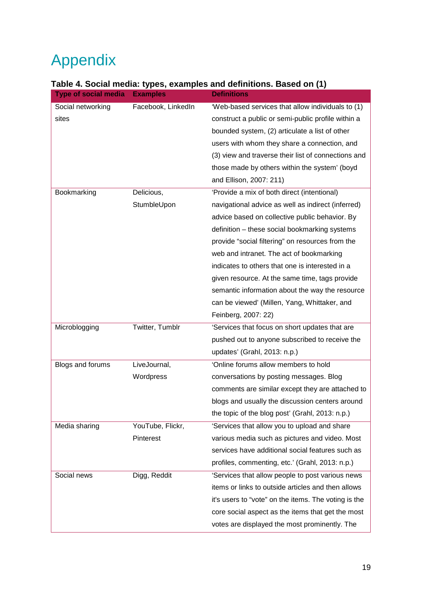# Appendix

| Table 4. Social media: types, examples and definitions. Based on (1) |  |  |
|----------------------------------------------------------------------|--|--|
|                                                                      |  |  |

| <b>Type of social media</b> | <b>Examples</b>    | <b>Definitions</b>                                   |
|-----------------------------|--------------------|------------------------------------------------------|
| Social networking           | Facebook, LinkedIn | 'Web-based services that allow individuals to (1)    |
| sites                       |                    | construct a public or semi-public profile within a   |
|                             |                    | bounded system, (2) articulate a list of other       |
|                             |                    | users with whom they share a connection, and         |
|                             |                    | (3) view and traverse their list of connections and  |
|                             |                    | those made by others within the system' (boyd        |
|                             |                    | and Ellison, 2007: 211)                              |
| Bookmarking                 | Delicious,         | 'Provide a mix of both direct (intentional)          |
|                             | StumbleUpon        | navigational advice as well as indirect (inferred)   |
|                             |                    | advice based on collective public behavior. By       |
|                             |                    | definition - these social bookmarking systems        |
|                             |                    | provide "social filtering" on resources from the     |
|                             |                    | web and intranet. The act of bookmarking             |
|                             |                    | indicates to others that one is interested in a      |
|                             |                    | given resource. At the same time, tags provide       |
|                             |                    | semantic information about the way the resource      |
|                             |                    | can be viewed' (Millen, Yang, Whittaker, and         |
|                             |                    | Feinberg, 2007: 22)                                  |
| Microblogging               | Twitter, Tumblr    | 'Services that focus on short updates that are       |
|                             |                    | pushed out to anyone subscribed to receive the       |
|                             |                    | updates' (Grahl, 2013: n.p.)                         |
| Blogs and forums            | LiveJournal,       | 'Online forums allow members to hold                 |
|                             | Wordpress          | conversations by posting messages. Blog              |
|                             |                    | comments are similar except they are attached to     |
|                             |                    | blogs and usually the discussion centers around      |
|                             |                    | the topic of the blog post' (Grahl, 2013: n.p.)      |
| Media sharing               | YouTube, Flickr,   | 'Services that allow you to upload and share         |
|                             | Pinterest          | various media such as pictures and video. Most       |
|                             |                    | services have additional social features such as     |
|                             |                    | profiles, commenting, etc.' (Grahl, 2013: n.p.)      |
| Social news                 | Digg, Reddit       | 'Services that allow people to post various news     |
|                             |                    | items or links to outside articles and then allows   |
|                             |                    | it's users to "vote" on the items. The voting is the |
|                             |                    | core social aspect as the items that get the most    |
|                             |                    | votes are displayed the most prominently. The        |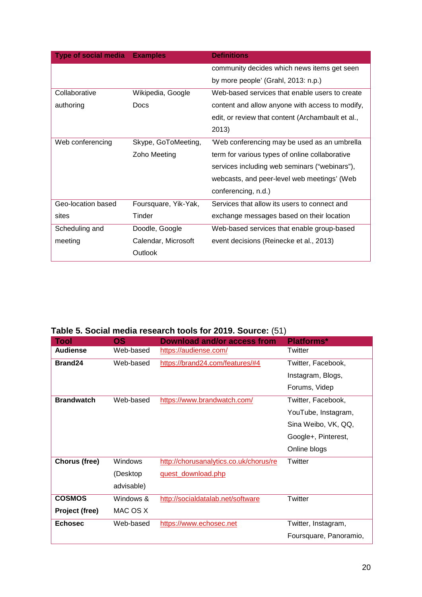| <b>Type of social media</b> | <b>Examples</b>      | <b>Definitions</b>                                |
|-----------------------------|----------------------|---------------------------------------------------|
|                             |                      | community decides which news items get seen       |
|                             |                      | by more people' (Grahl, 2013: n.p.)               |
| Collaborative               | Wikipedia, Google    | Web-based services that enable users to create    |
| authoring                   | <b>Docs</b>          | content and allow anyone with access to modify,   |
|                             |                      | edit, or review that content (Archambault et al., |
|                             |                      | 2013)                                             |
| Web conferencing            | Skype, GoToMeeting,  | 'Web conferencing may be used as an umbrella      |
|                             | Zoho Meeting         | term for various types of online collaborative    |
|                             |                      | services including web seminars ("webinars"),     |
|                             |                      | webcasts, and peer-level web meetings' (Web       |
|                             |                      | conferencing, n.d.)                               |
| Geo-location based          | Foursquare, Yik-Yak, | Services that allow its users to connect and      |
| sites                       | Tinder               | exchange messages based on their location         |
| Scheduling and              | Doodle, Google       | Web-based services that enable group-based        |
| meeting                     | Calendar, Microsoft  | event decisions (Reinecke et al., 2013)           |
|                             | Outlook              |                                                   |

**Table 5. Social media research tools for 2019. Source:** (51)

| <b>Tool</b>       | <b>OS</b>      | Download and/or access from            | <b>Platforms*</b>      |
|-------------------|----------------|----------------------------------------|------------------------|
| <b>Audiense</b>   | Web-based      | https://audiense.com/                  | Twitter                |
| Brand24           | Web-based      | https://brand24.com/features/#4        | Twitter, Facebook,     |
|                   |                |                                        | Instagram, Blogs,      |
|                   |                |                                        | Forums, Videp          |
| <b>Brandwatch</b> | Web-based      | https://www.brandwatch.com/            | Twitter, Facebook,     |
|                   |                |                                        | YouTube, Instagram,    |
|                   |                |                                        | Sina Weibo, VK, QQ,    |
|                   |                |                                        | Google+, Pinterest,    |
|                   |                |                                        | Online blogs           |
| Chorus (free)     | <b>Windows</b> | http://chorusanalytics.co.uk/chorus/re | Twitter                |
|                   | (Desktop       | quest_download.php                     |                        |
|                   | advisable)     |                                        |                        |
| <b>COSMOS</b>     | Windows &      | http://socialdatalab.net/software      | Twitter                |
| Project (free)    | MAC OS X       |                                        |                        |
| <b>Echosec</b>    | Web-based      | https://www.echosec.net                | Twitter, Instagram,    |
|                   |                |                                        | Foursquare, Panoramio, |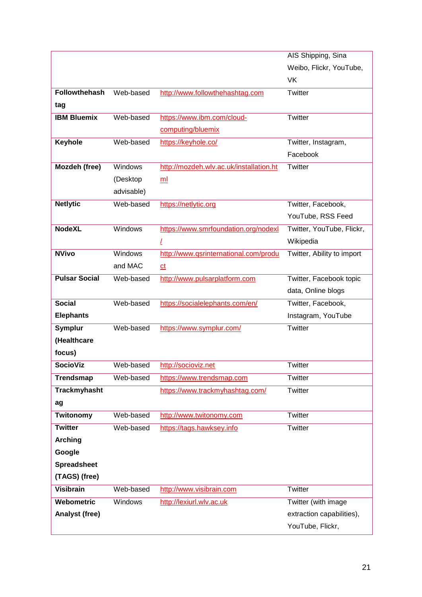| AIS Shipping, Sina<br>Weibo, Flickr, YouTube,<br>VK<br><b>Followthehash</b><br>Web-based<br>http://www.followthehashtag.com<br>Twitter<br>tag<br><b>IBM Bluemix</b><br>Web-based<br>https://www.ibm.com/cloud-<br>Twitter<br>computing/bluemix<br>Keyhole<br>Web-based<br>https://keyhole.co/<br>Twitter, Instagram,<br>Facebook<br>Mozdeh (free)<br>http://mozdeh.wlv.ac.uk/installation.ht<br>Windows<br>Twitter<br>(Desktop<br>m <sub>l</sub><br>advisable)<br>Web-based<br><b>Netlytic</b><br>https://netlytic.org<br>Twitter, Facebook,<br>YouTube, RSS Feed<br><b>NodeXL</b><br>Windows<br>https://www.smrfoundation.org/nodexl<br>Twitter, YouTube, Flickr,<br>Wikipedia<br>L<br><b>NVivo</b><br>Windows<br>http://www.gsrinternational.com/produ<br>Twitter, Ability to import<br>and MAC<br>$ct$<br><b>Pulsar Social</b><br>http://www.pulsarplatform.com<br>Web-based<br>Twitter, Facebook topic<br>data, Online blogs<br><b>Social</b><br>Web-based<br>https://socialelephants.com/en/<br>Twitter, Facebook,<br><b>Elephants</b><br>Instagram, YouTube<br>Web-based<br><b>Symplur</b><br>https://www.symplur.com/<br>Twitter<br>(Healthcare<br>focus)<br><b>SocioViz</b><br>http://socioviz.net<br>Web-based<br>Twitter |                       |  |  |
|------------------------------------------------------------------------------------------------------------------------------------------------------------------------------------------------------------------------------------------------------------------------------------------------------------------------------------------------------------------------------------------------------------------------------------------------------------------------------------------------------------------------------------------------------------------------------------------------------------------------------------------------------------------------------------------------------------------------------------------------------------------------------------------------------------------------------------------------------------------------------------------------------------------------------------------------------------------------------------------------------------------------------------------------------------------------------------------------------------------------------------------------------------------------------------------------------------------------------------|-----------------------|--|--|
|                                                                                                                                                                                                                                                                                                                                                                                                                                                                                                                                                                                                                                                                                                                                                                                                                                                                                                                                                                                                                                                                                                                                                                                                                                    |                       |  |  |
|                                                                                                                                                                                                                                                                                                                                                                                                                                                                                                                                                                                                                                                                                                                                                                                                                                                                                                                                                                                                                                                                                                                                                                                                                                    |                       |  |  |
|                                                                                                                                                                                                                                                                                                                                                                                                                                                                                                                                                                                                                                                                                                                                                                                                                                                                                                                                                                                                                                                                                                                                                                                                                                    |                       |  |  |
|                                                                                                                                                                                                                                                                                                                                                                                                                                                                                                                                                                                                                                                                                                                                                                                                                                                                                                                                                                                                                                                                                                                                                                                                                                    |                       |  |  |
|                                                                                                                                                                                                                                                                                                                                                                                                                                                                                                                                                                                                                                                                                                                                                                                                                                                                                                                                                                                                                                                                                                                                                                                                                                    |                       |  |  |
|                                                                                                                                                                                                                                                                                                                                                                                                                                                                                                                                                                                                                                                                                                                                                                                                                                                                                                                                                                                                                                                                                                                                                                                                                                    |                       |  |  |
|                                                                                                                                                                                                                                                                                                                                                                                                                                                                                                                                                                                                                                                                                                                                                                                                                                                                                                                                                                                                                                                                                                                                                                                                                                    |                       |  |  |
|                                                                                                                                                                                                                                                                                                                                                                                                                                                                                                                                                                                                                                                                                                                                                                                                                                                                                                                                                                                                                                                                                                                                                                                                                                    |                       |  |  |
|                                                                                                                                                                                                                                                                                                                                                                                                                                                                                                                                                                                                                                                                                                                                                                                                                                                                                                                                                                                                                                                                                                                                                                                                                                    |                       |  |  |
|                                                                                                                                                                                                                                                                                                                                                                                                                                                                                                                                                                                                                                                                                                                                                                                                                                                                                                                                                                                                                                                                                                                                                                                                                                    |                       |  |  |
|                                                                                                                                                                                                                                                                                                                                                                                                                                                                                                                                                                                                                                                                                                                                                                                                                                                                                                                                                                                                                                                                                                                                                                                                                                    |                       |  |  |
|                                                                                                                                                                                                                                                                                                                                                                                                                                                                                                                                                                                                                                                                                                                                                                                                                                                                                                                                                                                                                                                                                                                                                                                                                                    |                       |  |  |
|                                                                                                                                                                                                                                                                                                                                                                                                                                                                                                                                                                                                                                                                                                                                                                                                                                                                                                                                                                                                                                                                                                                                                                                                                                    |                       |  |  |
|                                                                                                                                                                                                                                                                                                                                                                                                                                                                                                                                                                                                                                                                                                                                                                                                                                                                                                                                                                                                                                                                                                                                                                                                                                    |                       |  |  |
|                                                                                                                                                                                                                                                                                                                                                                                                                                                                                                                                                                                                                                                                                                                                                                                                                                                                                                                                                                                                                                                                                                                                                                                                                                    |                       |  |  |
|                                                                                                                                                                                                                                                                                                                                                                                                                                                                                                                                                                                                                                                                                                                                                                                                                                                                                                                                                                                                                                                                                                                                                                                                                                    |                       |  |  |
|                                                                                                                                                                                                                                                                                                                                                                                                                                                                                                                                                                                                                                                                                                                                                                                                                                                                                                                                                                                                                                                                                                                                                                                                                                    |                       |  |  |
|                                                                                                                                                                                                                                                                                                                                                                                                                                                                                                                                                                                                                                                                                                                                                                                                                                                                                                                                                                                                                                                                                                                                                                                                                                    |                       |  |  |
|                                                                                                                                                                                                                                                                                                                                                                                                                                                                                                                                                                                                                                                                                                                                                                                                                                                                                                                                                                                                                                                                                                                                                                                                                                    |                       |  |  |
|                                                                                                                                                                                                                                                                                                                                                                                                                                                                                                                                                                                                                                                                                                                                                                                                                                                                                                                                                                                                                                                                                                                                                                                                                                    |                       |  |  |
|                                                                                                                                                                                                                                                                                                                                                                                                                                                                                                                                                                                                                                                                                                                                                                                                                                                                                                                                                                                                                                                                                                                                                                                                                                    |                       |  |  |
|                                                                                                                                                                                                                                                                                                                                                                                                                                                                                                                                                                                                                                                                                                                                                                                                                                                                                                                                                                                                                                                                                                                                                                                                                                    |                       |  |  |
|                                                                                                                                                                                                                                                                                                                                                                                                                                                                                                                                                                                                                                                                                                                                                                                                                                                                                                                                                                                                                                                                                                                                                                                                                                    |                       |  |  |
|                                                                                                                                                                                                                                                                                                                                                                                                                                                                                                                                                                                                                                                                                                                                                                                                                                                                                                                                                                                                                                                                                                                                                                                                                                    |                       |  |  |
|                                                                                                                                                                                                                                                                                                                                                                                                                                                                                                                                                                                                                                                                                                                                                                                                                                                                                                                                                                                                                                                                                                                                                                                                                                    |                       |  |  |
|                                                                                                                                                                                                                                                                                                                                                                                                                                                                                                                                                                                                                                                                                                                                                                                                                                                                                                                                                                                                                                                                                                                                                                                                                                    |                       |  |  |
| <b>Trendsmap</b><br>Web-based<br>Twitter<br>https://www.trendsmap.com                                                                                                                                                                                                                                                                                                                                                                                                                                                                                                                                                                                                                                                                                                                                                                                                                                                                                                                                                                                                                                                                                                                                                              |                       |  |  |
| <b>Trackmyhasht</b><br>Twitter<br>https://www.trackmyhashtag.com/                                                                                                                                                                                                                                                                                                                                                                                                                                                                                                                                                                                                                                                                                                                                                                                                                                                                                                                                                                                                                                                                                                                                                                  |                       |  |  |
| ag                                                                                                                                                                                                                                                                                                                                                                                                                                                                                                                                                                                                                                                                                                                                                                                                                                                                                                                                                                                                                                                                                                                                                                                                                                 |                       |  |  |
| Twitonomy<br>Web-based<br>http://www.twitonomy.com<br>Twitter                                                                                                                                                                                                                                                                                                                                                                                                                                                                                                                                                                                                                                                                                                                                                                                                                                                                                                                                                                                                                                                                                                                                                                      |                       |  |  |
| <b>Twitter</b><br>Web-based<br>Twitter<br>https://tags.hawksey.info                                                                                                                                                                                                                                                                                                                                                                                                                                                                                                                                                                                                                                                                                                                                                                                                                                                                                                                                                                                                                                                                                                                                                                |                       |  |  |
| <b>Arching</b>                                                                                                                                                                                                                                                                                                                                                                                                                                                                                                                                                                                                                                                                                                                                                                                                                                                                                                                                                                                                                                                                                                                                                                                                                     |                       |  |  |
| Google                                                                                                                                                                                                                                                                                                                                                                                                                                                                                                                                                                                                                                                                                                                                                                                                                                                                                                                                                                                                                                                                                                                                                                                                                             |                       |  |  |
| <b>Spreadsheet</b>                                                                                                                                                                                                                                                                                                                                                                                                                                                                                                                                                                                                                                                                                                                                                                                                                                                                                                                                                                                                                                                                                                                                                                                                                 |                       |  |  |
| (TAGS) (free)                                                                                                                                                                                                                                                                                                                                                                                                                                                                                                                                                                                                                                                                                                                                                                                                                                                                                                                                                                                                                                                                                                                                                                                                                      |                       |  |  |
| <b>Visibrain</b><br>Twitter<br>Web-based<br>http://www.visibrain.com                                                                                                                                                                                                                                                                                                                                                                                                                                                                                                                                                                                                                                                                                                                                                                                                                                                                                                                                                                                                                                                                                                                                                               |                       |  |  |
| Webometric<br>Windows<br>http://lexiurl.wlv.ac.uk<br>Twitter (with image                                                                                                                                                                                                                                                                                                                                                                                                                                                                                                                                                                                                                                                                                                                                                                                                                                                                                                                                                                                                                                                                                                                                                           |                       |  |  |
|                                                                                                                                                                                                                                                                                                                                                                                                                                                                                                                                                                                                                                                                                                                                                                                                                                                                                                                                                                                                                                                                                                                                                                                                                                    |                       |  |  |
| extraction capabilities),                                                                                                                                                                                                                                                                                                                                                                                                                                                                                                                                                                                                                                                                                                                                                                                                                                                                                                                                                                                                                                                                                                                                                                                                          | <b>Analyst (free)</b> |  |  |